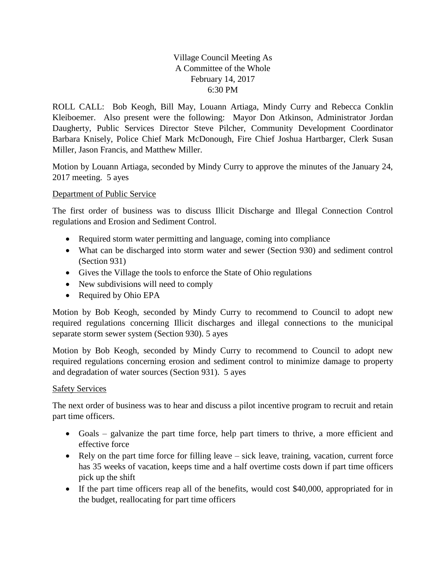## Village Council Meeting As A Committee of the Whole February 14, 2017 6:30 PM

ROLL CALL: Bob Keogh, Bill May, Louann Artiaga, Mindy Curry and Rebecca Conklin Kleiboemer. Also present were the following: Mayor Don Atkinson, Administrator Jordan Daugherty, Public Services Director Steve Pilcher, Community Development Coordinator Barbara Knisely, Police Chief Mark McDonough, Fire Chief Joshua Hartbarger, Clerk Susan Miller, Jason Francis, and Matthew Miller.

Motion by Louann Artiaga, seconded by Mindy Curry to approve the minutes of the January 24, 2017 meeting. 5 ayes

## Department of Public Service

The first order of business was to discuss Illicit Discharge and Illegal Connection Control regulations and Erosion and Sediment Control.

- Required storm water permitting and language, coming into compliance
- What can be discharged into storm water and sewer (Section 930) and sediment control (Section 931)
- Gives the Village the tools to enforce the State of Ohio regulations
- New subdivisions will need to comply
- Required by Ohio EPA

Motion by Bob Keogh, seconded by Mindy Curry to recommend to Council to adopt new required regulations concerning Illicit discharges and illegal connections to the municipal separate storm sewer system (Section 930). 5 ayes

Motion by Bob Keogh, seconded by Mindy Curry to recommend to Council to adopt new required regulations concerning erosion and sediment control to minimize damage to property and degradation of water sources (Section 931). 5 ayes

## Safety Services

The next order of business was to hear and discuss a pilot incentive program to recruit and retain part time officers.

- Goals galvanize the part time force, help part timers to thrive, a more efficient and effective force
- Rely on the part time force for filling leave sick leave, training, vacation, current force has 35 weeks of vacation, keeps time and a half overtime costs down if part time officers pick up the shift
- If the part time officers reap all of the benefits, would cost \$40,000, appropriated for in the budget, reallocating for part time officers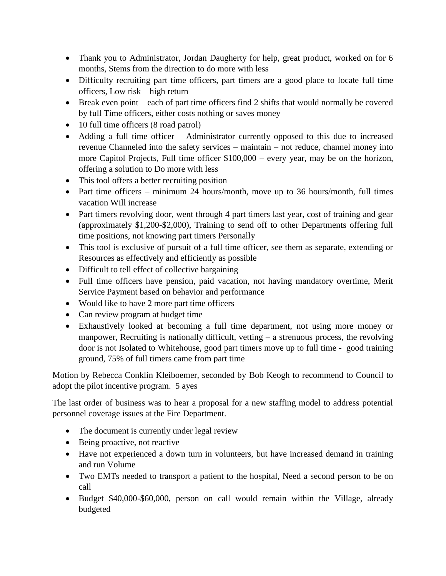- Thank you to Administrator, Jordan Daugherty for help, great product, worked on for 6 months, Stems from the direction to do more with less
- Difficulty recruiting part time officers, part timers are a good place to locate full time officers, Low risk – high return
- Break even point each of part time officers find 2 shifts that would normally be covered by full Time officers, either costs nothing or saves money
- 10 full time officers (8 road patrol)
- Adding a full time officer Administrator currently opposed to this due to increased revenue Channeled into the safety services – maintain – not reduce, channel money into more Capitol Projects, Full time officer \$100,000 – every year, may be on the horizon, offering a solution to Do more with less
- This tool offers a better recruiting position
- Part time officers minimum 24 hours/month, move up to 36 hours/month, full times vacation Will increase
- Part timers revolving door, went through 4 part timers last year, cost of training and gear (approximately \$1,200-\$2,000), Training to send off to other Departments offering full time positions, not knowing part timers Personally
- This tool is exclusive of pursuit of a full time officer, see them as separate, extending or Resources as effectively and efficiently as possible
- Difficult to tell effect of collective bargaining
- Full time officers have pension, paid vacation, not having mandatory overtime, Merit Service Payment based on behavior and performance
- Would like to have 2 more part time officers
- Can review program at budget time
- Exhaustively looked at becoming a full time department, not using more money or manpower, Recruiting is nationally difficult, vetting – a strenuous process, the revolving door is not Isolated to Whitehouse, good part timers move up to full time - good training ground, 75% of full timers came from part time

Motion by Rebecca Conklin Kleiboemer, seconded by Bob Keogh to recommend to Council to adopt the pilot incentive program. 5 ayes

The last order of business was to hear a proposal for a new staffing model to address potential personnel coverage issues at the Fire Department.

- The document is currently under legal review
- Being proactive, not reactive
- Have not experienced a down turn in volunteers, but have increased demand in training and run Volume
- Two EMTs needed to transport a patient to the hospital, Need a second person to be on call
- Budget \$40,000-\$60,000, person on call would remain within the Village, already budgeted